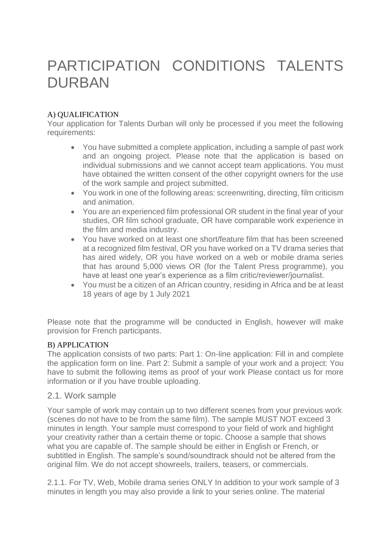# PARTICIPATION CONDITIONS TALENTS DURBAN

# A) QUALIFICATION

Your application for Talents Durban will only be processed if you meet the following requirements:

- You have submitted a complete application, including a sample of past work and an ongoing project. Please note that the application is based on individual submissions and we cannot accept team applications. You must have obtained the written consent of the other copyright owners for the use of the work sample and project submitted.
- You work in one of the following areas: screenwriting, directing, film criticism and animation.
- You are an experienced film professional OR student in the final year of your studies, OR film school graduate, OR have comparable work experience in the film and media industry.
- You have worked on at least one short/feature film that has been screened at a recognized film festival, OR you have worked on a TV drama series that has aired widely, OR you have worked on a web or mobile drama series that has around 5,000 views OR (for the Talent Press programme), you have at least one year's experience as a film critic/reviewer/journalist.
- You must be a citizen of an African country, residing in Africa and be at least 18 years of age by 1 July 2021

Please note that the programme will be conducted in English, however will make provision for French participants.

# B) APPLICATION

The application consists of two parts: Part 1: On-line application: Fill in and complete the application form on line. Part 2: Submit a sample of your work and a project: You have to submit the following items as proof of your work Please contact us for more information or if you have trouble uploading.

# 2.1. Work sample

Your sample of work may contain up to two different scenes from your previous work (scenes do not have to be from the same film). The sample MUST NOT exceed 3 minutes in length. Your sample must correspond to your field of work and highlight your creativity rather than a certain theme or topic. Choose a sample that shows what you are capable of. The sample should be either in English or French, or subtitled in English. The sample's sound/soundtrack should not be altered from the original film. We do not accept showreels, trailers, teasers, or commercials.

2.1.1. For TV, Web, Mobile drama series ONLY In addition to your work sample of 3 minutes in length you may also provide a link to your series online. The material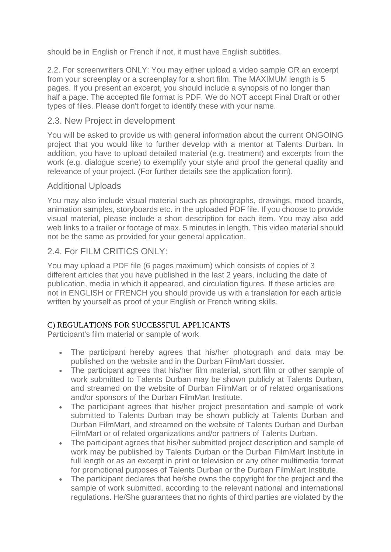should be in English or French if not, it must have English subtitles.

2.2. For screenwriters ONLY: You may either upload a video sample OR an excerpt from your screenplay or a screenplay for a short film. The MAXIMUM length is 5 pages. If you present an excerpt, you should include a synopsis of no longer than half a page. The accepted file format is PDF. We do NOT accept Final Draft or other types of files. Please don't forget to identify these with your name.

# 2.3. New Project in development

You will be asked to provide us with general information about the current ONGOING project that you would like to further develop with a mentor at Talents Durban. In addition, you have to upload detailed material (e.g. treatment) and excerpts from the work (e.g. dialogue scene) to exemplify your style and proof the general quality and relevance of your project. (For further details see the application form).

# Additional Uploads

You may also include visual material such as photographs, drawings, mood boards, animation samples, storyboards etc. in the uploaded PDF file. If you choose to provide visual material, please include a short description for each item. You may also add web links to a trailer or footage of max. 5 minutes in length. This video material should not be the same as provided for your general application.

# 2.4. For FILM CRITICS ONLY:

You may upload a PDF file (6 pages maximum) which consists of copies of 3 different articles that you have published in the last 2 years, including the date of publication, media in which it appeared, and circulation figures. If these articles are not in ENGLISH or FRENCH you should provide us with a translation for each article written by yourself as proof of your English or French writing skills.

# C) REGULATIONS FOR SUCCESSFUL APPLICANTS

Participant's film material or sample of work

- The participant hereby agrees that his/her photograph and data may be published on the website and in the Durban FilmMart dossier.
- The participant agrees that his/her film material, short film or other sample of work submitted to Talents Durban may be shown publicly at Talents Durban, and streamed on the website of Durban FilmMart or of related organisations and/or sponsors of the Durban FilmMart Institute.
- The participant agrees that his/her project presentation and sample of work submitted to Talents Durban may be shown publicly at Talents Durban and Durban FilmMart, and streamed on the website of Talents Durban and Durban FilmMart or of related organizations and/or partners of Talents Durban.
- The participant agrees that his/her submitted project description and sample of work may be published by Talents Durban or the Durban FilmMart Institute in full length or as an excerpt in print or television or any other multimedia format for promotional purposes of Talents Durban or the Durban FilmMart Institute.
- The participant declares that he/she owns the copyright for the project and the sample of work submitted, according to the relevant national and international regulations. He/She guarantees that no rights of third parties are violated by the